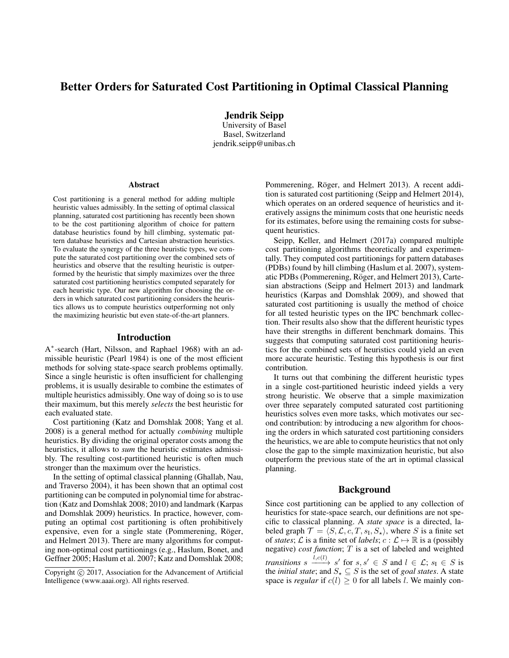# Better Orders for Saturated Cost Partitioning in Optimal Classical Planning

Jendrik Seipp

University of Basel Basel, Switzerland jendrik.seipp@unibas.ch

#### Abstract

Cost partitioning is a general method for adding multiple heuristic values admissibly. In the setting of optimal classical planning, saturated cost partitioning has recently been shown to be the cost partitioning algorithm of choice for pattern database heuristics found by hill climbing, systematic pattern database heuristics and Cartesian abstraction heuristics. To evaluate the synergy of the three heuristic types, we compute the saturated cost partitioning over the combined sets of heuristics and observe that the resulting heuristic is outperformed by the heuristic that simply maximizes over the three saturated cost partitioning heuristics computed separately for each heuristic type. Our new algorithm for choosing the orders in which saturated cost partitioning considers the heuristics allows us to compute heuristics outperforming not only the maximizing heuristic but even state-of-the-art planners.

### Introduction

A ∗ -search (Hart, Nilsson, and Raphael 1968) with an admissible heuristic (Pearl 1984) is one of the most efficient methods for solving state-space search problems optimally. Since a single heuristic is often insufficient for challenging problems, it is usually desirable to combine the estimates of multiple heuristics admissibly. One way of doing so is to use their maximum, but this merely *selects* the best heuristic for each evaluated state.

Cost partitioning (Katz and Domshlak 2008; Yang et al. 2008) is a general method for actually *combining* multiple heuristics. By dividing the original operator costs among the heuristics, it allows to *sum* the heuristic estimates admissibly. The resulting cost-partitioned heuristic is often much stronger than the maximum over the heuristics.

In the setting of optimal classical planning (Ghallab, Nau, and Traverso 2004), it has been shown that an optimal cost partitioning can be computed in polynomial time for abstraction (Katz and Domshlak 2008; 2010) and landmark (Karpas and Domshlak 2009) heuristics. In practice, however, computing an optimal cost partitioning is often prohibitively expensive, even for a single state (Pommerening, Röger, and Helmert 2013). There are many algorithms for computing non-optimal cost partitionings (e.g., Haslum, Bonet, and Geffner 2005; Haslum et al. 2007; Katz and Domshlak 2008;

Pommerening, Röger, and Helmert 2013). A recent addition is saturated cost partitioning (Seipp and Helmert 2014), which operates on an ordered sequence of heuristics and iteratively assigns the minimum costs that one heuristic needs for its estimates, before using the remaining costs for subsequent heuristics.

Seipp, Keller, and Helmert (2017a) compared multiple cost partitioning algorithms theoretically and experimentally. They computed cost partitionings for pattern databases (PDBs) found by hill climbing (Haslum et al. 2007), systematic PDBs (Pommerening, Röger, and Helmert 2013), Cartesian abstractions (Seipp and Helmert 2013) and landmark heuristics (Karpas and Domshlak 2009), and showed that saturated cost partitioning is usually the method of choice for all tested heuristic types on the IPC benchmark collection. Their results also show that the different heuristic types have their strengths in different benchmark domains. This suggests that computing saturated cost partitioning heuristics for the combined sets of heuristics could yield an even more accurate heuristic. Testing this hypothesis is our first contribution.

It turns out that combining the different heuristic types in a single cost-partitioned heuristic indeed yields a very strong heuristic. We observe that a simple maximization over three separately computed saturated cost partitioning heuristics solves even more tasks, which motivates our second contribution: by introducing a new algorithm for choosing the orders in which saturated cost partitioning considers the heuristics, we are able to compute heuristics that not only close the gap to the simple maximization heuristic, but also outperform the previous state of the art in optimal classical planning.

# Background

Since cost partitioning can be applied to any collection of heuristics for state-space search, our definitions are not specific to classical planning. A *state space* is a directed, labeled graph  $\mathcal{T} = \langle S, \mathcal{L}, c, T, s_{\text{I}}, S_{\star} \rangle$ , where S is a finite set of *states*;  $\mathcal{L}$  is a finite set of *labels*;  $c : \mathcal{L} \mapsto \mathbb{R}$  is a (possibly negative) *cost function*; T is a set of labeled and weighted *transitions*  $s \xrightarrow{l, c(l)} s'$  for  $s, s' \in S$  and  $l \in \mathcal{L}$ ;  $s_I \in S$  is the *initial state*; and  $S_{\star} \subseteq S$  is the set of *goal states*. A state space is *regular* if  $c(l) \geq 0$  for all labels l. We mainly con-

Copyright (c) 2017, Association for the Advancement of Artificial Intelligence (www.aaai.org). All rights reserved.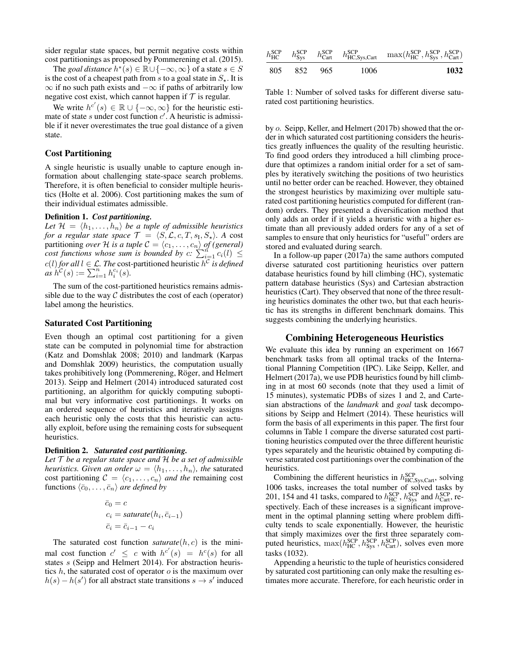sider regular state spaces, but permit negative costs within cost partitionings as proposed by Pommerening et al. (2015).

The *goal distance*  $h^*(s) \in \mathbb{R} \cup \{-\infty, \infty\}$  of a state  $s \in S$ is the cost of a cheapest path from s to a goal state in  $S_{\star}$ . It is  $\infty$  if no such path exists and  $-\infty$  if paths of arbitrarily low negative cost exist, which cannot happen if  $T$  is regular.

We write  $h^{c'}(s) \in \mathbb{R} \cup \{-\infty, \infty\}$  for the heuristic estimate of state s under cost function  $c'$ . A heuristic is admissible if it never overestimates the true goal distance of a given state.

# Cost Partitioning

A single heuristic is usually unable to capture enough information about challenging state-space search problems. Therefore, it is often beneficial to consider multiple heuristics (Holte et al. 2006). Cost partitioning makes the sum of their individual estimates admissible.

#### Definition 1. *Cost partitioning.*

Let  $\mathcal{H} = \langle h_1, \ldots, h_n \rangle$  *be a tuple of admissible heuristics for a regular state space*  $\mathcal{T} = \langle S, \mathcal{L}, c, T, s_{\text{I}}, S_{\star} \rangle$ . A cost partitioning *over* H *is a tuple*  $C = \langle c_1, \ldots, c_n \rangle$  *of (general) cost functions whose sum is bounded by*  $c: \sum_{i=1}^{n} c_i(l) \leq$  $c(l)$  *for all*  $l \in \mathcal{L}$ . The cost-partitioned heuristic  $h^{\mathcal{C}}$  *is defined*  $as \, h^{\mathcal{C}}(s) := \sum_{i=1}^n h_i^{c_i}(s).$ 

The sum of the cost-partitioned heuristics remains admissible due to the way  $\mathcal C$  distributes the cost of each (operator) label among the heuristics.

### Saturated Cost Partitioning

Even though an optimal cost partitioning for a given state can be computed in polynomial time for abstraction (Katz and Domshlak 2008; 2010) and landmark (Karpas and Domshlak 2009) heuristics, the computation usually takes prohibitively long (Pommerening, Röger, and Helmert 2013). Seipp and Helmert (2014) introduced saturated cost partitioning, an algorithm for quickly computing suboptimal but very informative cost partitionings. It works on an ordered sequence of heuristics and iteratively assigns each heuristic only the costs that this heuristic can actually exploit, before using the remaining costs for subsequent heuristics.

#### Definition 2. *Saturated cost partitioning.*

*Let* T *be a regular state space and* H *be a set of admissible heuristics. Given an order*  $\omega = \langle h_1, \ldots, h_n \rangle$ *, the saturated* cost partitioning  $C = \langle c_1, \ldots, c_n \rangle$  *and the* remaining cost functions  $\langle \bar{c}_0, \ldots, \bar{c}_n \rangle$  *are defined by* 

$$
\bar{c}_0 = c
$$
  
\n
$$
c_i = saturate(h_i, \bar{c}_{i-1})
$$
  
\n
$$
\bar{c}_i = \bar{c}_{i-1} - c_i
$$

The saturated cost function *saturate* $(h, c)$  is the minimal cost function  $c' \leq c$  with  $h^{c'}(s) = h^{c}(s)$  for all states s (Seipp and Helmert 2014). For abstraction heuristics  $h$ , the saturated cost of operator  $o$  is the maximum over  $h(s) - h(s')$  for all abstract state transitions  $s \to s'$  induced

| $h_{HC}^{\text{SCP}}$ $h_{Sys}^{\text{SCP}}$ $h_{Cart}^{\text{SCP}}$ $h_{HC,Sys, Cart}^{\text{SCP}}$ $\max(h_{HC}^{\text{SCP}}, h_{Sys}^{\text{SCP}}, h_{Cart}^{\text{SCP}})$ |      |             |  |
|-------------------------------------------------------------------------------------------------------------------------------------------------------------------------------|------|-------------|--|
| 1032                                                                                                                                                                          | 1006 | 805 852 965 |  |

Table 1: Number of solved tasks for different diverse saturated cost partitioning heuristics.

by o. Seipp, Keller, and Helmert (2017b) showed that the order in which saturated cost partitioning considers the heuristics greatly influences the quality of the resulting heuristic. To find good orders they introduced a hill climbing procedure that optimizes a random initial order for a set of samples by iteratively switching the positions of two heuristics until no better order can be reached. However, they obtained the strongest heuristics by maximizing over multiple saturated cost partitioning heuristics computed for different (random) orders. They presented a diversification method that only adds an order if it yields a heuristic with a higher estimate than all previously added orders for any of a set of samples to ensure that only heuristics for "useful" orders are stored and evaluated during search.

In a follow-up paper (2017a) the same authors computed diverse saturated cost partitioning heuristics over pattern database heuristics found by hill climbing (HC), systematic pattern database heuristics (Sys) and Cartesian abstraction heuristics (Cart). They observed that none of the three resulting heuristics dominates the other two, but that each heuristic has its strengths in different benchmark domains. This suggests combining the underlying heuristics.

# Combining Heterogeneous Heuristics

We evaluate this idea by running an experiment on 1667 benchmark tasks from all optimal tracks of the International Planning Competition (IPC). Like Seipp, Keller, and Helmert (2017a), we use PDB heuristics found by hill climbing in at most 60 seconds (note that they used a limit of 15 minutes), systematic PDBs of sizes 1 and 2, and Cartesian abstractions of the *landmark* and *goal* task decompositions by Seipp and Helmert (2014). These heuristics will form the basis of all experiments in this paper. The first four columns in Table 1 compare the diverse saturated cost partitioning heuristics computed over the three different heuristic types separately and the heuristic obtained by computing diverse saturated cost partitionings over the combination of the heuristics.

Combining the different heuristics in  $h_{HC,Sys, Cart}^{SCP}$ , solving 1006 tasks, increases the total number of solved tasks by 201, 154 and 41 tasks, compared to  $h_{HC}^{SCP}$ ,  $h_{Sys}^{SCP}$  and  $h_{Cart}^{SCP}$ , respectively. Each of these increases is a significant improvement in the optimal planning setting where problem difficulty tends to scale exponentially. However, the heuristic that simply maximizes over the first three separately computed heuristics,  $\max(h_{HC}^{SCP}, h_{Sys}^{SCP}, h_{Cart}^{SCP})$ , solves even more tasks (1032).

Appending a heuristic to the tuple of heuristics considered by saturated cost partitioning can only make the resulting estimates more accurate. Therefore, for each heuristic order in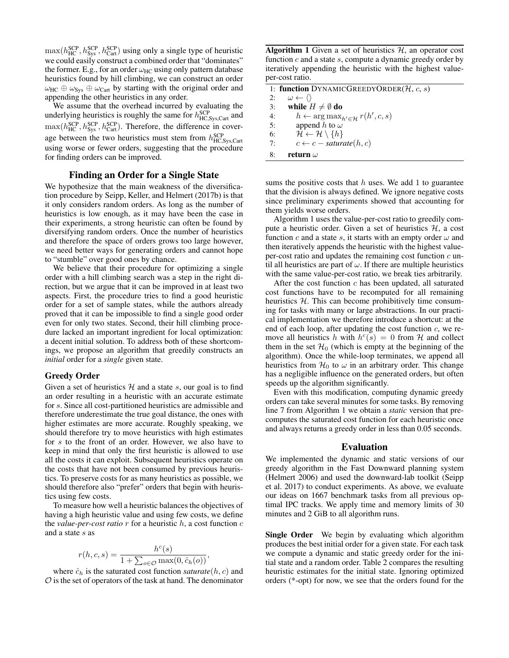$\max(h_{\text{HC}}^{\text{SCP}}, h_{\text{Sys}}^{\text{SCP}}, h_{\text{Cart}}^{\text{SCP}})$  using only a single type of heuristic we could easily construct a combined order that "dominates" the former. E.g., for an order  $\omega_{HC}$  using only pattern database heuristics found by hill climbing, we can construct an order  $\omega_{\text{HC}} \oplus \omega_{\text{Sys}} \oplus \omega_{\text{Cart}}$  by starting with the original order and appending the other heuristics in any order.

We assume that the overhead incurred by evaluating the underlying heuristics is roughly the same for  $h_{HC,Sys, Cart}^{SCP}$  and  $\max(h_{HC}^{SCP}, h_{Sys}^{SCP}, h_{Cart}^{SCP})$ . Therefore, the difference in coverage between the two heuristics must stem from  $h_{HC,Sys, Cart}^{SCP}$ using worse or fewer orders, suggesting that the procedure for finding orders can be improved.

### Finding an Order for a Single State

We hypothesize that the main weakness of the diversification procedure by Seipp, Keller, and Helmert (2017b) is that it only considers random orders. As long as the number of heuristics is low enough, as it may have been the case in their experiments, a strong heuristic can often be found by diversifying random orders. Once the number of heuristics and therefore the space of orders grows too large however, we need better ways for generating orders and cannot hope to "stumble" over good ones by chance.

We believe that their procedure for optimizing a single order with a hill climbing search was a step in the right direction, but we argue that it can be improved in at least two aspects. First, the procedure tries to find a good heuristic order for a set of sample states, while the authors already proved that it can be impossible to find a single good order even for only two states. Second, their hill climbing procedure lacked an important ingredient for local optimization: a decent initial solution. To address both of these shortcomings, we propose an algorithm that greedily constructs an *initial* order for a *single* given state.

#### Greedy Order

Given a set of heuristics  $H$  and a state s, our goal is to find an order resulting in a heuristic with an accurate estimate for s. Since all cost-partitioned heuristics are admissible and therefore underestimate the true goal distance, the ones with higher estimates are more accurate. Roughly speaking, we should therefore try to move heuristics with high estimates for s to the front of an order. However, we also have to keep in mind that only the first heuristic is allowed to use all the costs it can exploit. Subsequent heuristics operate on the costs that have not been consumed by previous heuristics. To preserve costs for as many heuristics as possible, we should therefore also "prefer" orders that begin with heuristics using few costs.

To measure how well a heuristic balances the objectives of having a high heuristic value and using few costs, we define the *value-per-cost ratio* r for a heuristic h, a cost function c and a state s as

$$
r(h,c,s) = \frac{h^c(s)}{1 + \sum_{o \in \mathcal{O}} \max(0, \hat{c}_h(o))},
$$

where  $\hat{c}_h$  is the saturated cost function *saturate*( $h, c$ ) and  $\mathcal O$  is the set of operators of the task at hand. The denominator

**Algorithm 1** Given a set of heuristics  $H$ , an operator cost function  $c$  and a state  $s$ , compute a dynamic greedy order by iteratively appending the heuristic with the highest valueper-cost ratio.

1: function DYNAMICGREEDYORDER( $H, c, s$ ) 2:  $\omega \leftarrow \langle \rangle$ 3: while  $H \neq \emptyset$  do 4:  $h \leftarrow \arg \max_{h' \in \mathcal{H}} r(h', c, s)$ 5: append h to  $\omega$ 6:  $\mathcal{H} \leftarrow \mathcal{H} \setminus \{h\}$ 7:  $c \leftarrow c - saturate(h, c)$ 8: return  $\omega$ 

sums the positive costs that  $h$  uses. We add 1 to guarantee that the division is always defined. We ignore negative costs since preliminary experiments showed that accounting for them yields worse orders.

Algorithm 1 uses the value-per-cost ratio to greedily compute a heuristic order. Given a set of heuristics  $H$ , a cost function  $c$  and a state  $s$ , it starts with an empty order  $\omega$  and then iteratively appends the heuristic with the highest valueper-cost ratio and updates the remaining cost function  $c$  until all heuristics are part of  $\omega$ . If there are multiple heuristics with the same value-per-cost ratio, we break ties arbitrarily.

After the cost function  $c$  has been updated, all saturated cost functions have to be recomputed for all remaining heuristics  $H$ . This can become prohibitively time consuming for tasks with many or large abstractions. In our practical implementation we therefore introduce a shortcut: at the end of each loop, after updating the cost function  $c$ , we remove all heuristics h with  $h^{c}(s) = 0$  from H and collect them in the set  $\mathcal{H}_0$  (which is empty at the beginning of the algorithm). Once the while-loop terminates, we append all heuristics from  $\mathcal{H}_0$  to  $\omega$  in an arbitrary order. This change has a negligible influence on the generated orders, but often speeds up the algorithm significantly.

Even with this modification, computing dynamic greedy orders can take several minutes for some tasks. By removing line 7 from Algorithm 1 we obtain a *static* version that precomputes the saturated cost function for each heuristic once and always returns a greedy order in less than 0.05 seconds.

# Evaluation

We implemented the dynamic and static versions of our greedy algorithm in the Fast Downward planning system (Helmert 2006) and used the downward-lab toolkit (Seipp et al. 2017) to conduct experiments. As above, we evaluate our ideas on 1667 benchmark tasks from all previous optimal IPC tracks. We apply time and memory limits of 30 minutes and 2 GiB to all algorithm runs.

Single Order We begin by evaluating which algorithm produces the best initial order for a given state. For each task we compute a dynamic and static greedy order for the initial state and a random order. Table 2 compares the resulting heuristic estimates for the initial state. Ignoring optimized orders (\*-opt) for now, we see that the orders found for the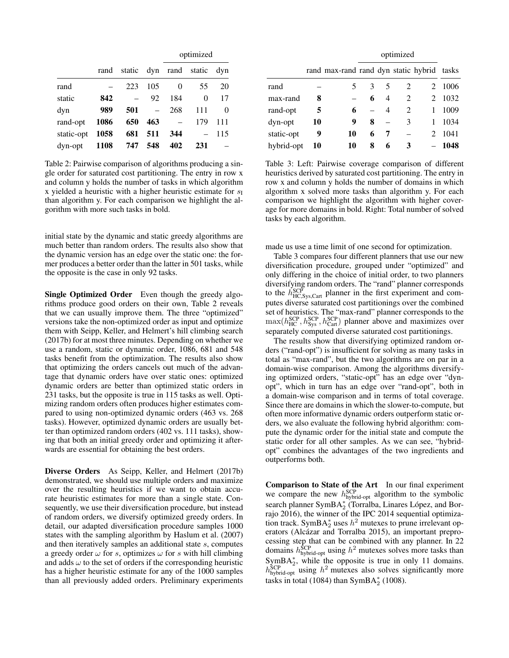|            |             |     |     | optimized |                        |     |  |
|------------|-------------|-----|-----|-----------|------------------------|-----|--|
|            | rand        |     |     |           | static dyn rand static | dyn |  |
| rand       |             | 223 | 105 | 0         | 55                     | 20  |  |
| static     | 842         |     | 92  | 184       | 0                      | 17  |  |
| dyn        | 989         | 501 |     | 268       | 111                    | 0   |  |
| rand-opt   | 1086        | 650 | 463 |           | 179                    | 111 |  |
| static-opt | 1058        | 681 | 511 | 344       |                        | 115 |  |
| dyn-opt    | <b>1108</b> | 747 | 548 | 402       | 231                    |     |  |

Table 2: Pairwise comparison of algorithms producing a single order for saturated cost partitioning. The entry in row x and column y holds the number of tasks in which algorithm x yielded a heuristic with a higher heuristic estimate for  $s_I$ than algorithm y. For each comparison we highlight the algorithm with more such tasks in bold.

initial state by the dynamic and static greedy algorithms are much better than random orders. The results also show that the dynamic version has an edge over the static one: the former produces a better order than the latter in 501 tasks, while the opposite is the case in only 92 tasks.

Single Optimized Order Even though the greedy algorithms produce good orders on their own, Table 2 reveals that we can usually improve them. The three "optimized" versions take the non-optimized order as input and optimize them with Seipp, Keller, and Helmert's hill climbing search (2017b) for at most three minutes. Depending on whether we use a random, static or dynamic order, 1086, 681 and 548 tasks benefit from the optimization. The results also show that optimizing the orders cancels out much of the advantage that dynamic orders have over static ones: optimized dynamic orders are better than optimized static orders in 231 tasks, but the opposite is true in 115 tasks as well. Optimizing random orders often produces higher estimates compared to using non-optimized dynamic orders (463 vs. 268 tasks). However, optimized dynamic orders are usually better than optimized random orders (402 vs. 111 tasks), showing that both an initial greedy order and optimizing it afterwards are essential for obtaining the best orders.

Diverse Orders As Seipp, Keller, and Helmert (2017b) demonstrated, we should use multiple orders and maximize over the resulting heuristics if we want to obtain accurate heuristic estimates for more than a single state. Consequently, we use their diversification procedure, but instead of random orders, we diversify optimized greedy orders. In detail, our adapted diversification procedure samples 1000 states with the sampling algorithm by Haslum et al. (2007) and then iteratively samples an additional state s, computes a greedy order  $\omega$  for s, optimizes  $\omega$  for s with hill climbing and adds  $\omega$  to the set of orders if the corresponding heuristic has a higher heuristic estimate for any of the 1000 samples than all previously added orders. Preliminary experiments

|            |    |                                            | optimized |   |                               |                             |      |
|------------|----|--------------------------------------------|-----------|---|-------------------------------|-----------------------------|------|
|            |    | rand max-rand rand dyn static hybrid tasks |           |   |                               |                             |      |
| rand       |    |                                            | 3         | 5 | $\mathfrak{D}_{\mathfrak{p}}$ | $\mathcal{D}_{\mathcal{L}}$ | 1006 |
| max-rand   | 8  |                                            | 6         | 4 | $\mathcal{D}_{\mathcal{L}}$   | 2                           | 1032 |
| rand-opt   | 5  | 6                                          |           | 4 | $\mathcal{D}_{\mathcal{L}}$   | 1                           | 1009 |
| dyn-opt    | 10 | 9                                          | 8         |   | 3                             |                             | 1034 |
| static-opt | 9  | 10                                         | 6         |   |                               | $\mathcal{D}_{\mathcal{L}}$ | 1041 |
| hybrid-opt | 10 | 10                                         | 8         | 6 | 3                             |                             | 1048 |

Table 3: Left: Pairwise coverage comparison of different heuristics derived by saturated cost partitioning. The entry in row x and column y holds the number of domains in which algorithm x solved more tasks than algorithm y. For each comparison we highlight the algorithm with higher coverage for more domains in bold. Right: Total number of solved tasks by each algorithm.

made us use a time limit of one second for optimization.

Table 3 compares four different planners that use our new diversification procedure, grouped under "optimized" and only differing in the choice of initial order, to two planners diversifying random orders. The "rand" planner corresponds to the  $\hat{h}_{\text{HC,Sys, Cart}}^{\text{SCP}}$  planner in the first experiment and computes diverse saturated cost partitionings over the combined set of heuristics. The "max-rand" planner corresponds to the  $\max(h_{HC}^{SCP}, h_{Sys}^{SCP}, h_{Cart}^{SCP})$  planner above and maximizes over separately computed diverse saturated cost partitionings.

The results show that diversifying optimized random orders ("rand-opt") is insufficient for solving as many tasks in total as "max-rand", but the two algorithms are on par in a domain-wise comparison. Among the algorithms diversifying optimized orders, "static-opt" has an edge over "dynopt", which in turn has an edge over "rand-opt", both in a domain-wise comparison and in terms of total coverage. Since there are domains in which the slower-to-compute, but often more informative dynamic orders outperform static orders, we also evaluate the following hybrid algorithm: compute the dynamic order for the initial state and compute the static order for all other samples. As we can see, "hybridopt" combines the advantages of the two ingredients and outperforms both.

Comparison to State of the Art In our final experiment we compare the new  $h_{\text{hybrid-opt}}^{\text{SCP}}$  algorithm to the symbolic search planner SymB $A_2^*$  (Torralba, Linares López, and Borrajo 2016), the winner of the IPC 2014 sequential optimization track. SymBA<sup>\*</sup><sub>2</sub> uses  $h^2$  mutexes to prune irrelevant operators (Alcázar and Torralba 2015), an important preprocessing step that can be combined with any planner. In 22 domains  $h_{\text{hybrid-opt}}^{\text{SCP}}$  using  $h^2$  mutexes solves more tasks than  $\text{SymBA}_{2}^{*}$ , while the opposite is true in only 11 domains.  $h_{\text{hybrid-opt}}^{\text{SCP}}$  using  $h^2$  mutexes also solves significantly more tasks in total (1084) than SymB $A_2^*$  (1008).